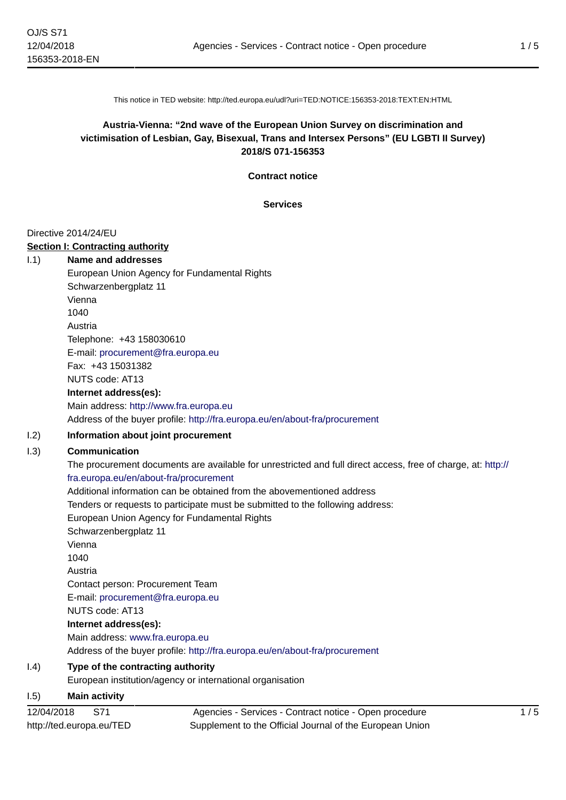This notice in TED website: http://ted.europa.eu/udl?uri=TED:NOTICE:156353-2018:TEXT:EN:HTML

# **Austria-Vienna: "2nd wave of the European Union Survey on discrimination and victimisation of Lesbian, Gay, Bisexual, Trans and Intersex Persons" (EU LGBTI II Survey) 2018/S 071-156353**

### **Contract notice**

#### **Services**

#### Directive 2014/24/EU

#### **Section I: Contracting authority**

#### I.1) **Name and addresses**

European Union Agency for Fundamental Rights Schwarzenbergplatz 11 Vienna 1040 Austria Telephone: +43 158030610 E-mail: [procurement@fra.europa.eu](mailto:procurement@fra.europa.eu)  Fax: +43 15031382 NUTS code: AT13 **Internet address(es):** Main address:<http://www.fra.europa.eu> Address of the buyer profile: <http://fra.europa.eu/en/about-fra/procurement>

### I.2) **Information about joint procurement**

### I.3) **Communication**

The procurement documents are available for unrestricted and full direct access, free of charge, at: [http://](http://fra.europa.eu/en/about-fra/procurement) [fra.europa.eu/en/about-fra/procurement](http://fra.europa.eu/en/about-fra/procurement)

Additional information can be obtained from the abovementioned address Tenders or requests to participate must be submitted to the following address: European Union Agency for Fundamental Rights Schwarzenbergplatz 11 Vienna 1040 Austria Contact person: Procurement Team E-mail: [procurement@fra.europa.eu](mailto:procurement@fra.europa.eu)  NUTS code: AT13 **Internet address(es):** Main address:<www.fra.europa.eu> Address of the buyer profile: <http://fra.europa.eu/en/about-fra/procurement>

### I.4) **Type of the contracting authority**

European institution/agency or international organisation

### I.5) **Main activity**

12/04/2018 S71 http://ted.europa.eu/TED

Agencies - Services - Contract notice - Open procedure Supplement to the Official Journal of the European Union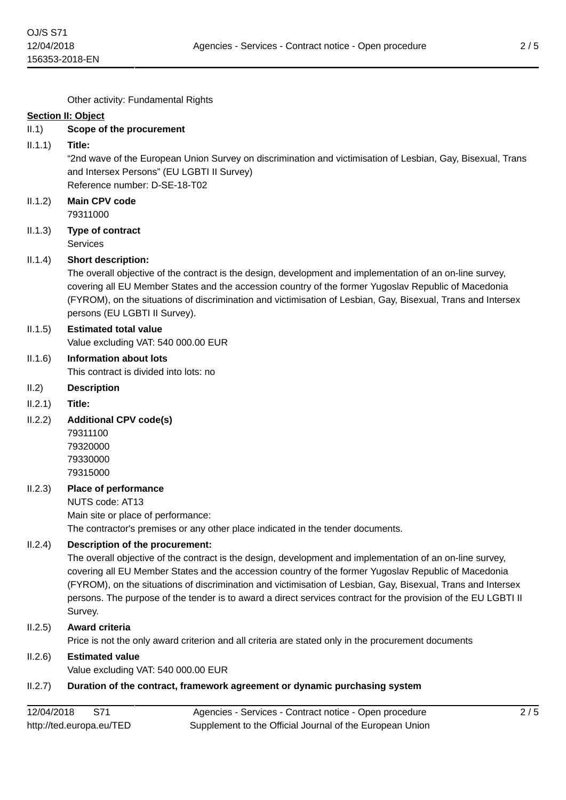Other activity: Fundamental Rights

# **Section II: Object**

## II.1) **Scope of the procurement**

## II.1.1) **Title:**

"2nd wave of the European Union Survey on discrimination and victimisation of Lesbian, Gay, Bisexual, Trans and Intersex Persons" (EU LGBTI II Survey) Reference number: D-SE-18-T02

- II.1.2) **Main CPV code** 79311000
- II.1.3) **Type of contract** Services

# II.1.4) **Short description:**

The overall objective of the contract is the design, development and implementation of an on-line survey, covering all EU Member States and the accession country of the former Yugoslav Republic of Macedonia (FYROM), on the situations of discrimination and victimisation of Lesbian, Gay, Bisexual, Trans and Intersex persons (EU LGBTI II Survey).

II.1.5) **Estimated total value**

Value excluding VAT: 540 000.00 EUR

- II.1.6) **Information about lots** This contract is divided into lots: no
- II.2) **Description**
- II.2.1) **Title:**
- II.2.2) **Additional CPV code(s)**

### II.2.3) **Place of performance**

NUTS code: AT13 Main site or place of performance: The contractor's premises or any other place indicated in the tender documents.

# II.2.4) **Description of the procurement:**

The overall objective of the contract is the design, development and implementation of an on-line survey, covering all EU Member States and the accession country of the former Yugoslav Republic of Macedonia (FYROM), on the situations of discrimination and victimisation of Lesbian, Gay, Bisexual, Trans and Intersex persons. The purpose of the tender is to award a direct services contract for the provision of the EU LGBTI II Survey.

### II.2.5) **Award criteria**

Price is not the only award criterion and all criteria are stated only in the procurement documents

### II.2.6) **Estimated value**

Value excluding VAT: 540 000.00 EUR

### II.2.7) **Duration of the contract, framework agreement or dynamic purchasing system**

| 12/04/2018<br>- S71      | Agencies - Services - Contract notice - Open procedure   |
|--------------------------|----------------------------------------------------------|
| http://ted.europa.eu/TED | Supplement to the Official Journal of the European Union |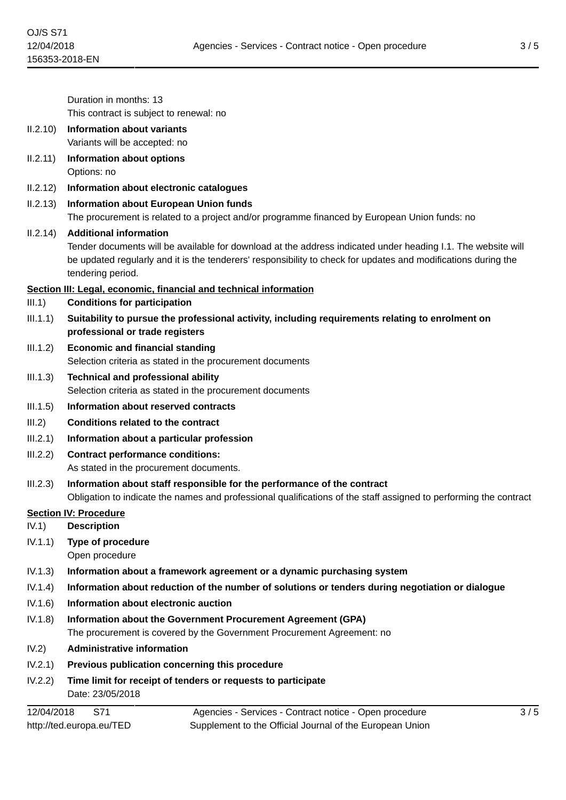Duration in months: 13 This contract is subject to renewal: no

- II.2.10) **Information about variants** Variants will be accepted: no
- II.2.11) **Information about options** Options: no
- II.2.12) **Information about electronic catalogues**

## II.2.13) **Information about European Union funds**

The procurement is related to a project and/or programme financed by European Union funds: no

### II.2.14) **Additional information**

Tender documents will be available for download at the address indicated under heading I.1. The website will be updated regularly and it is the tenderers' responsibility to check for updates and modifications during the tendering period.

#### **Section III: Legal, economic, financial and technical information**

- III.1) **Conditions for participation**
- III.1.1) **Suitability to pursue the professional activity, including requirements relating to enrolment on professional or trade registers**
- III.1.2) **Economic and financial standing** Selection criteria as stated in the procurement documents
- III.1.3) **Technical and professional ability** Selection criteria as stated in the procurement documents
- III.1.5) **Information about reserved contracts**
- III.2) **Conditions related to the contract**
- III.2.1) **Information about a particular profession**
- III.2.2) **Contract performance conditions:** As stated in the procurement documents.
- III.2.3) **Information about staff responsible for the performance of the contract** Obligation to indicate the names and professional qualifications of the staff assigned to performing the contract

## **Section IV: Procedure**

- IV.1) **Description**
- IV.1.1) **Type of procedure**

Open procedure

- IV.1.3) **Information about a framework agreement or a dynamic purchasing system**
- IV.1.4) **Information about reduction of the number of solutions or tenders during negotiation or dialogue**
- IV.1.6) **Information about electronic auction**
- IV.1.8) **Information about the Government Procurement Agreement (GPA)** The procurement is covered by the Government Procurement Agreement: no
- IV.2) **Administrative information**
- IV.2.1) **Previous publication concerning this procedure**
- IV.2.2) **Time limit for receipt of tenders or requests to participate** Date: 23/05/2018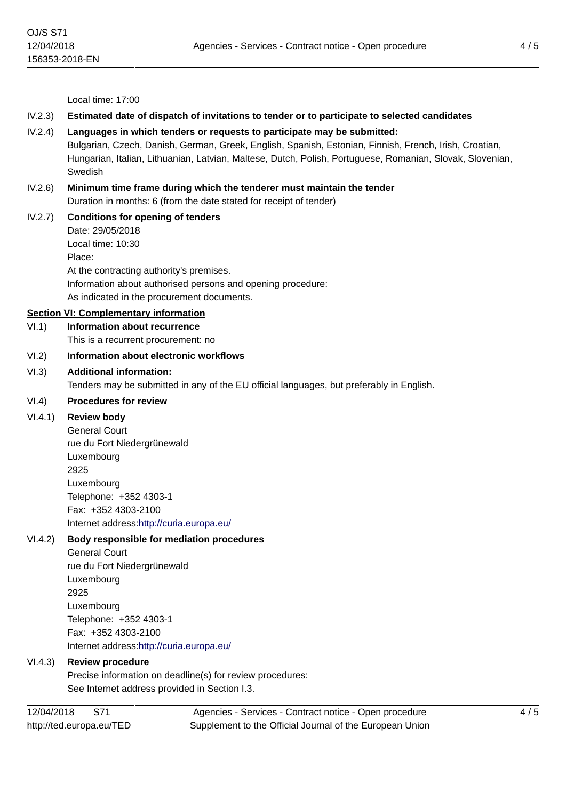Local time: 17:00

### IV.2.3) **Estimated date of dispatch of invitations to tender or to participate to selected candidates**

#### IV.2.4) **Languages in which tenders or requests to participate may be submitted:**

Bulgarian, Czech, Danish, German, Greek, English, Spanish, Estonian, Finnish, French, Irish, Croatian, Hungarian, Italian, Lithuanian, Latvian, Maltese, Dutch, Polish, Portuguese, Romanian, Slovak, Slovenian, Swedish

IV.2.6) **Minimum time frame during which the tenderer must maintain the tender** Duration in months: 6 (from the date stated for receipt of tender)

# IV.2.7) **Conditions for opening of tenders** Date: 29/05/2018 Local time: 10:30 Place: At the contracting authority's premises. Information about authorised persons and opening procedure: As indicated in the procurement documents.

### **Section VI: Complementary information**

VI.1) **Information about recurrence**

This is a recurrent procurement: no

### VI.2) **Information about electronic workflows**

## VI.3) **Additional information:**

Tenders may be submitted in any of the EU official languages, but preferably in English.

### VI.4) **Procedures for review**

### VI.4.1) **Review body**

General Court rue du Fort Niedergrünewald Luxembourg 2925 Luxembourg Telephone: +352 4303-1 Fax: +352 4303-2100 Internet address:<http://curia.europa.eu/>

# VI.4.2) **Body responsible for mediation procedures**

General Court rue du Fort Niedergrünewald Luxembourg 2925 Luxembourg Telephone: +352 4303-1 Fax: +352 4303-2100 Internet address:<http://curia.europa.eu/>

### VI.4.3) **Review procedure**

Precise information on deadline(s) for review procedures: See Internet address provided in Section I.3.